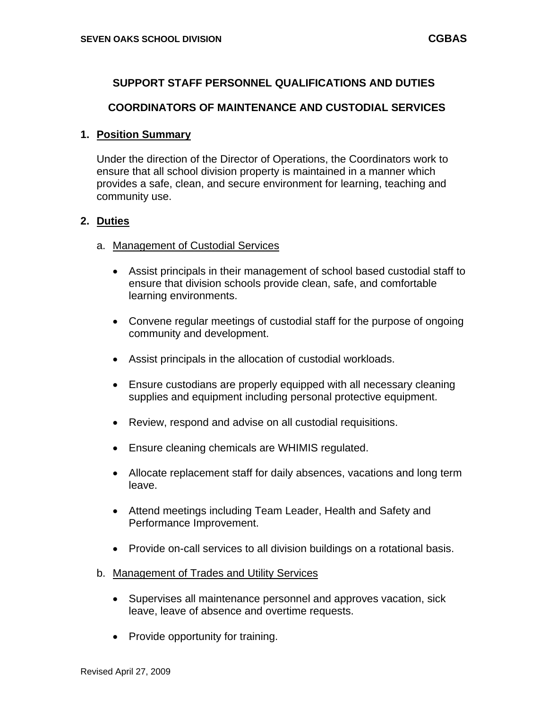# **SUPPORT STAFF PERSONNEL QUALIFICATIONS AND DUTIES**

### **COORDINATORS OF MAINTENANCE AND CUSTODIAL SERVICES**

### **1. Position Summary**

Under the direction of the Director of Operations, the Coordinators work to ensure that all school division property is maintained in a manner which provides a safe, clean, and secure environment for learning, teaching and community use.

### **2. Duties**

### a. Management of Custodial Services

- Assist principals in their management of school based custodial staff to ensure that division schools provide clean, safe, and comfortable learning environments.
- Convene regular meetings of custodial staff for the purpose of ongoing community and development.
- Assist principals in the allocation of custodial workloads.
- Ensure custodians are properly equipped with all necessary cleaning supplies and equipment including personal protective equipment.
- Review, respond and advise on all custodial requisitions.
- Ensure cleaning chemicals are WHIMIS regulated.
- Allocate replacement staff for daily absences, vacations and long term leave.
- Attend meetings including Team Leader, Health and Safety and Performance Improvement.
- Provide on-call services to all division buildings on a rotational basis.
- b. Management of Trades and Utility Services
	- Supervises all maintenance personnel and approves vacation, sick leave, leave of absence and overtime requests.
	- Provide opportunity for training.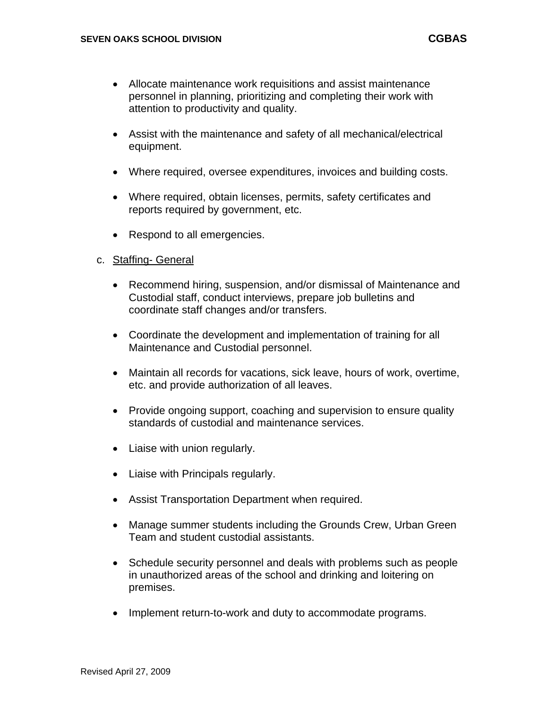- Allocate maintenance work requisitions and assist maintenance personnel in planning, prioritizing and completing their work with attention to productivity and quality.
- Assist with the maintenance and safety of all mechanical/electrical equipment.
- Where required, oversee expenditures, invoices and building costs.
- Where required, obtain licenses, permits, safety certificates and reports required by government, etc.
- Respond to all emergencies.

## c. Staffing- General

- Recommend hiring, suspension, and/or dismissal of Maintenance and Custodial staff, conduct interviews, prepare job bulletins and coordinate staff changes and/or transfers.
- Coordinate the development and implementation of training for all Maintenance and Custodial personnel.
- Maintain all records for vacations, sick leave, hours of work, overtime, etc. and provide authorization of all leaves.
- Provide ongoing support, coaching and supervision to ensure quality standards of custodial and maintenance services.
- Liaise with union regularly.
- Liaise with Principals regularly.
- Assist Transportation Department when required.
- Manage summer students including the Grounds Crew, Urban Green Team and student custodial assistants.
- Schedule security personnel and deals with problems such as people in unauthorized areas of the school and drinking and loitering on premises.
- Implement return-to-work and duty to accommodate programs.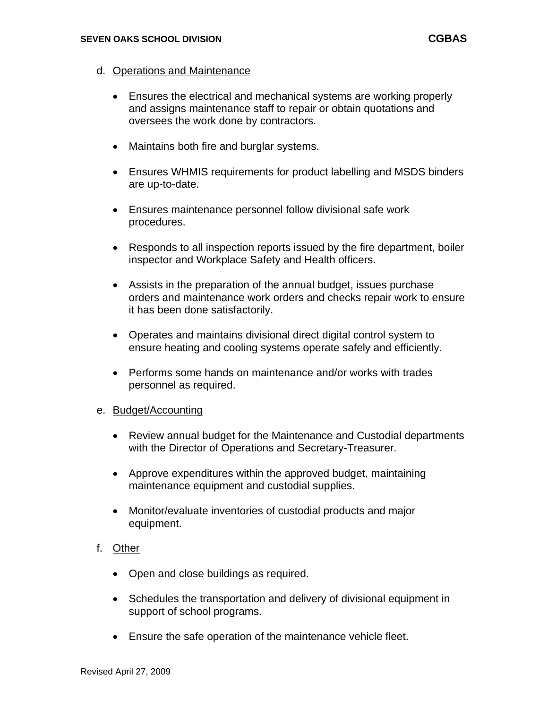- d. Operations and Maintenance
	- Ensures the electrical and mechanical systems are working properly and assigns maintenance staff to repair or obtain quotations and oversees the work done by contractors.
	- Maintains both fire and burglar systems.
	- Ensures WHMIS requirements for product labelling and MSDS binders are up-to-date.
	- Ensures maintenance personnel follow divisional safe work procedures.
	- Responds to all inspection reports issued by the fire department, boiler inspector and Workplace Safety and Health officers.
	- Assists in the preparation of the annual budget, issues purchase orders and maintenance work orders and checks repair work to ensure it has been done satisfactorily.
	- Operates and maintains divisional direct digital control system to ensure heating and cooling systems operate safely and efficiently.
	- Performs some hands on maintenance and/or works with trades personnel as required.

### e. Budget/Accounting

- Review annual budget for the Maintenance and Custodial departments with the Director of Operations and Secretary-Treasurer.
- Approve expenditures within the approved budget, maintaining maintenance equipment and custodial supplies.
- Monitor/evaluate inventories of custodial products and major equipment.
- f. Other
	- Open and close buildings as required.
	- Schedules the transportation and delivery of divisional equipment in support of school programs.
	- Ensure the safe operation of the maintenance vehicle fleet.